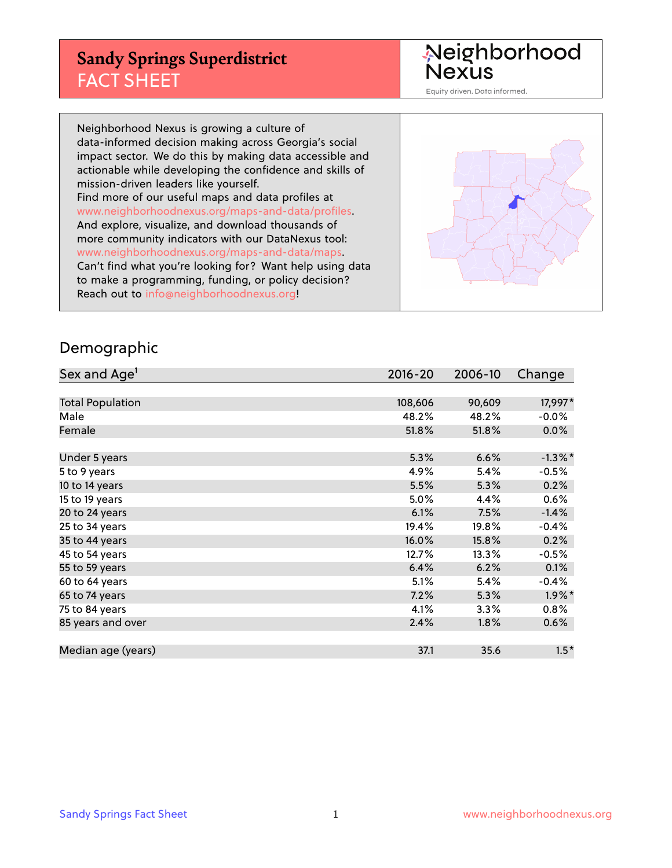# **Sandy Springs Superdistrict** FACT SHEET

Neighborhood<br>Nexus

Equity driven. Data informed.

Neighborhood Nexus is growing a culture of data-informed decision making across Georgia's social impact sector. We do this by making data accessible and actionable while developing the confidence and skills of mission-driven leaders like yourself. Find more of our useful maps and data profiles at www.neighborhoodnexus.org/maps-and-data/profiles. And explore, visualize, and download thousands of more community indicators with our DataNexus tool: www.neighborhoodnexus.org/maps-and-data/maps. Can't find what you're looking for? Want help using data to make a programming, funding, or policy decision? Reach out to [info@neighborhoodnexus.org!](mailto:info@neighborhoodnexus.org)



#### Demographic

| Sex and Age <sup>1</sup> | $2016 - 20$ | 2006-10 | Change     |
|--------------------------|-------------|---------|------------|
|                          |             |         |            |
| <b>Total Population</b>  | 108,606     | 90,609  | 17,997*    |
| Male                     | 48.2%       | 48.2%   | $-0.0%$    |
| Female                   | 51.8%       | 51.8%   | $0.0\%$    |
|                          |             |         |            |
| Under 5 years            | 5.3%        | 6.6%    | $-1.3\%$ * |
| 5 to 9 years             | 4.9%        | 5.4%    | $-0.5%$    |
| 10 to 14 years           | 5.5%        | 5.3%    | 0.2%       |
| 15 to 19 years           | 5.0%        | 4.4%    | 0.6%       |
| 20 to 24 years           | 6.1%        | 7.5%    | $-1.4%$    |
| 25 to 34 years           | 19.4%       | 19.8%   | $-0.4%$    |
| 35 to 44 years           | 16.0%       | 15.8%   | 0.2%       |
| 45 to 54 years           | 12.7%       | 13.3%   | $-0.5%$    |
| 55 to 59 years           | 6.4%        | 6.2%    | 0.1%       |
| 60 to 64 years           | 5.1%        | 5.4%    | $-0.4%$    |
| 65 to 74 years           | 7.2%        | 5.3%    | $1.9\%$ *  |
| 75 to 84 years           | 4.1%        | 3.3%    | 0.8%       |
| 85 years and over        | 2.4%        | 1.8%    | 0.6%       |
|                          |             |         |            |
| Median age (years)       | 37.1        | 35.6    | $1.5*$     |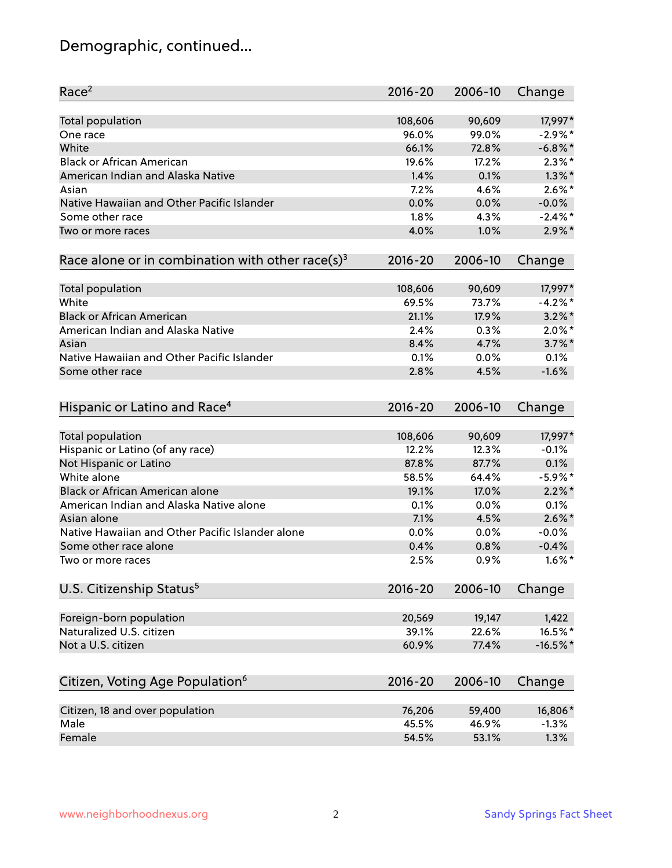# Demographic, continued...

| Race <sup>2</sup>                                            | $2016 - 20$ | 2006-10 | Change     |
|--------------------------------------------------------------|-------------|---------|------------|
| <b>Total population</b>                                      | 108,606     | 90,609  | 17,997*    |
| One race                                                     | 96.0%       | 99.0%   | $-2.9%$ *  |
| White                                                        | 66.1%       | 72.8%   | $-6.8\%$ * |
| <b>Black or African American</b>                             | 19.6%       | 17.2%   | $2.3\%$ *  |
| American Indian and Alaska Native                            | 1.4%        | 0.1%    | $1.3\%$ *  |
| Asian                                                        | 7.2%        | 4.6%    | $2.6\%$ *  |
| Native Hawaiian and Other Pacific Islander                   | 0.0%        | 0.0%    | $-0.0%$    |
| Some other race                                              | 1.8%        | 4.3%    | $-2.4\%$ * |
| Two or more races                                            | 4.0%        | 1.0%    | $2.9\%$ *  |
| Race alone or in combination with other race(s) <sup>3</sup> | $2016 - 20$ | 2006-10 | Change     |
| <b>Total population</b>                                      | 108,606     | 90,609  | 17,997*    |
| White                                                        | 69.5%       | 73.7%   | $-4.2%$ *  |
| <b>Black or African American</b>                             | 21.1%       | 17.9%   | $3.2\%$ *  |
| American Indian and Alaska Native                            | 2.4%        | 0.3%    | $2.0\%$ *  |
| Asian                                                        | 8.4%        | 4.7%    | $3.7\%$ *  |
| Native Hawaiian and Other Pacific Islander                   | 0.1%        | 0.0%    | 0.1%       |
| Some other race                                              | 2.8%        | 4.5%    | $-1.6%$    |
| Hispanic or Latino and Race <sup>4</sup>                     | $2016 - 20$ | 2006-10 | Change     |
| <b>Total population</b>                                      | 108,606     | 90,609  | 17,997*    |
| Hispanic or Latino (of any race)                             | 12.2%       | 12.3%   | $-0.1%$    |
| Not Hispanic or Latino                                       | 87.8%       | 87.7%   | 0.1%       |
| White alone                                                  | 58.5%       | 64.4%   | $-5.9\%$ * |
| Black or African American alone                              | 19.1%       | 17.0%   | $2.2\%$ *  |
| American Indian and Alaska Native alone                      | 0.1%        | 0.0%    | 0.1%       |
| Asian alone                                                  | 7.1%        | 4.5%    | $2.6\%$ *  |
| Native Hawaiian and Other Pacific Islander alone             | 0.0%        | 0.0%    | $-0.0%$    |
| Some other race alone                                        | 0.4%        | 0.8%    | $-0.4%$    |
| Two or more races                                            | 2.5%        | 0.9%    | $1.6\%$ *  |
| U.S. Citizenship Status <sup>5</sup>                         | 2016-20     | 2006-10 | Change     |
| Foreign-born population                                      | 20,569      | 19,147  | 1,422      |
| Naturalized U.S. citizen                                     | 39.1%       | 22.6%   | 16.5%*     |
| Not a U.S. citizen                                           | 60.9%       | 77.4%   | $-16.5%$ * |
|                                                              |             |         |            |
| Citizen, Voting Age Population <sup>6</sup>                  | 2016-20     | 2006-10 | Change     |
| Citizen, 18 and over population                              | 76,206      | 59,400  | 16,806*    |
| Male                                                         | 45.5%       | 46.9%   | $-1.3%$    |
| Female                                                       | 54.5%       | 53.1%   | 1.3%       |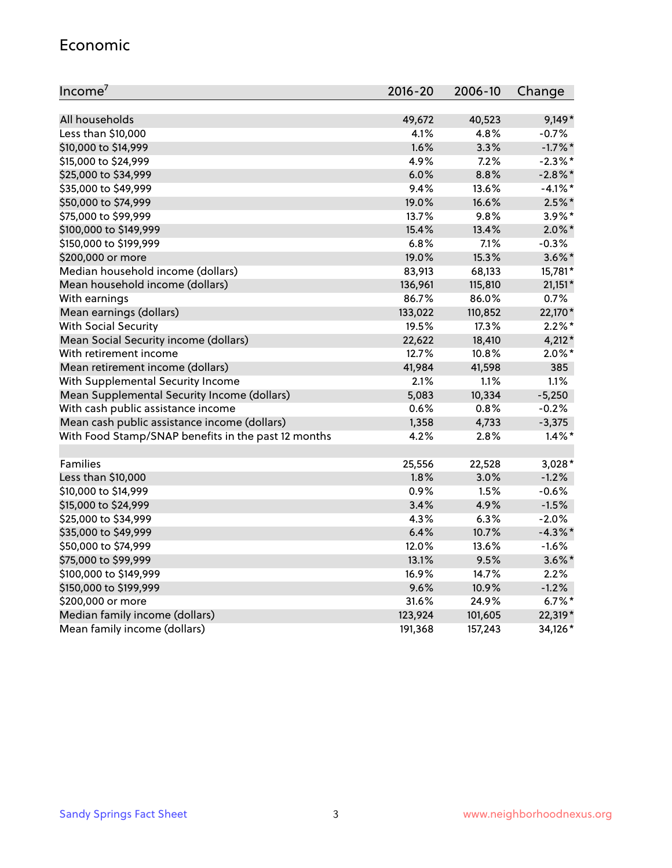#### Economic

| Income <sup>7</sup>                                 | $2016 - 20$ | 2006-10 | Change     |
|-----------------------------------------------------|-------------|---------|------------|
|                                                     |             |         |            |
| All households                                      | 49,672      | 40,523  | $9,149*$   |
| Less than \$10,000                                  | 4.1%        | 4.8%    | $-0.7%$    |
| \$10,000 to \$14,999                                | 1.6%        | 3.3%    | $-1.7\%$ * |
| \$15,000 to \$24,999                                | 4.9%        | 7.2%    | $-2.3\%$ * |
| \$25,000 to \$34,999                                | 6.0%        | 8.8%    | $-2.8\%$ * |
| \$35,000 to \$49,999                                | 9.4%        | 13.6%   | $-4.1%$ *  |
| \$50,000 to \$74,999                                | 19.0%       | 16.6%   | $2.5\%$ *  |
| \$75,000 to \$99,999                                | 13.7%       | 9.8%    | 3.9%*      |
| \$100,000 to \$149,999                              | 15.4%       | 13.4%   | $2.0\%$ *  |
| \$150,000 to \$199,999                              | 6.8%        | 7.1%    | $-0.3%$    |
| \$200,000 or more                                   | 19.0%       | 15.3%   | $3.6\%$ *  |
| Median household income (dollars)                   | 83,913      | 68,133  | 15,781*    |
| Mean household income (dollars)                     | 136,961     | 115,810 | $21,151*$  |
| With earnings                                       | 86.7%       | 86.0%   | 0.7%       |
| Mean earnings (dollars)                             | 133,022     | 110,852 | 22,170*    |
| <b>With Social Security</b>                         | 19.5%       | 17.3%   | $2.2\%$ *  |
| Mean Social Security income (dollars)               | 22,622      | 18,410  | $4,212*$   |
| With retirement income                              | 12.7%       | 10.8%   | $2.0\%$ *  |
| Mean retirement income (dollars)                    | 41,984      | 41,598  | 385        |
| With Supplemental Security Income                   | 2.1%        | 1.1%    | 1.1%       |
| Mean Supplemental Security Income (dollars)         | 5,083       | 10,334  | $-5,250$   |
| With cash public assistance income                  | 0.6%        | 0.8%    | $-0.2%$    |
| Mean cash public assistance income (dollars)        | 1,358       | 4,733   | $-3,375$   |
| With Food Stamp/SNAP benefits in the past 12 months | 4.2%        | 2.8%    | $1.4\%$ *  |
|                                                     |             |         |            |
| Families                                            | 25,556      | 22,528  | $3,028*$   |
| Less than \$10,000                                  | 1.8%        | 3.0%    | $-1.2%$    |
| \$10,000 to \$14,999                                | 0.9%        | 1.5%    | $-0.6%$    |
| \$15,000 to \$24,999                                | 3.4%        | 4.9%    | $-1.5%$    |
| \$25,000 to \$34,999                                | 4.3%        | 6.3%    | $-2.0%$    |
| \$35,000 to \$49,999                                | 6.4%        | 10.7%   | $-4.3\%$ * |
| \$50,000 to \$74,999                                | 12.0%       | 13.6%   | $-1.6%$    |
| \$75,000 to \$99,999                                | 13.1%       | 9.5%    | $3.6\%$ *  |
| \$100,000 to \$149,999                              | 16.9%       | 14.7%   | 2.2%       |
| \$150,000 to \$199,999                              | 9.6%        | 10.9%   | $-1.2%$    |
| \$200,000 or more                                   | 31.6%       | 24.9%   | $6.7\%$ *  |
| Median family income (dollars)                      | 123,924     | 101,605 | 22,319*    |
| Mean family income (dollars)                        | 191,368     | 157,243 | 34,126*    |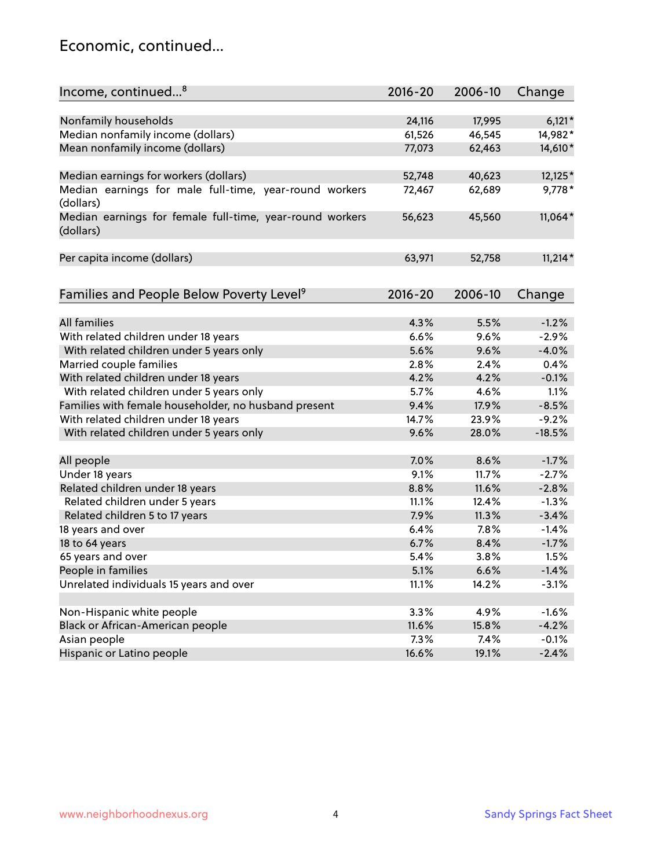#### Economic, continued...

| Income, continued <sup>8</sup><br>Change<br>$6,121*$<br>Nonfamily households<br>24,116<br>17,995<br>Median nonfamily income (dollars)<br>46,545<br>61,526<br>14,982*<br>Mean nonfamily income (dollars)<br>77,073<br>62,463<br>14,610* |
|----------------------------------------------------------------------------------------------------------------------------------------------------------------------------------------------------------------------------------------|
|                                                                                                                                                                                                                                        |
|                                                                                                                                                                                                                                        |
|                                                                                                                                                                                                                                        |
|                                                                                                                                                                                                                                        |
|                                                                                                                                                                                                                                        |
| 12,125*<br>Median earnings for workers (dollars)<br>52,748<br>40,623                                                                                                                                                                   |
| Median earnings for male full-time, year-round workers<br>62,689<br>9,778*<br>72,467                                                                                                                                                   |
| (dollars)                                                                                                                                                                                                                              |
| Median earnings for female full-time, year-round workers<br>11,064*<br>56,623<br>45,560                                                                                                                                                |
| (dollars)                                                                                                                                                                                                                              |
|                                                                                                                                                                                                                                        |
| $11,214*$<br>Per capita income (dollars)<br>63,971<br>52,758                                                                                                                                                                           |
|                                                                                                                                                                                                                                        |
| Families and People Below Poverty Level <sup>9</sup><br>$2016 - 20$<br>2006-10                                                                                                                                                         |
| Change                                                                                                                                                                                                                                 |
| All families<br>4.3%<br>5.5%<br>$-1.2%$                                                                                                                                                                                                |
| With related children under 18 years<br>6.6%<br>9.6%<br>$-2.9%$                                                                                                                                                                        |
| With related children under 5 years only<br>$-4.0%$<br>5.6%<br>9.6%                                                                                                                                                                    |
| 2.8%<br>Married couple families<br>2.4%<br>0.4%                                                                                                                                                                                        |
| With related children under 18 years<br>4.2%<br>4.2%<br>$-0.1%$                                                                                                                                                                        |
| With related children under 5 years only<br>5.7%<br>4.6%<br>1.1%                                                                                                                                                                       |
| Families with female householder, no husband present<br>9.4%<br>17.9%<br>$-8.5%$                                                                                                                                                       |
| With related children under 18 years<br>14.7%<br>23.9%<br>$-9.2%$                                                                                                                                                                      |
| 9.6%<br>28.0%<br>$-18.5%$                                                                                                                                                                                                              |
| With related children under 5 years only                                                                                                                                                                                               |
| $-1.7%$<br>All people<br>7.0%<br>8.6%                                                                                                                                                                                                  |
| Under 18 years<br>9.1%<br>$-2.7%$<br>11.7%                                                                                                                                                                                             |
| Related children under 18 years<br>11.6%<br>$-2.8%$<br>8.8%                                                                                                                                                                            |
| Related children under 5 years<br>$-1.3%$<br>11.1%<br>12.4%                                                                                                                                                                            |
| 7.9%<br>11.3%<br>$-3.4%$<br>Related children 5 to 17 years                                                                                                                                                                             |
| 18 years and over<br>6.4%<br>7.8%<br>$-1.4%$                                                                                                                                                                                           |
| 18 to 64 years<br>6.7%<br>8.4%<br>$-1.7%$                                                                                                                                                                                              |
| 65 years and over<br>5.4%<br>3.8%<br>1.5%                                                                                                                                                                                              |
| People in families<br>5.1%<br>6.6%<br>$-1.4%$                                                                                                                                                                                          |
| Unrelated individuals 15 years and over<br>14.2%<br>11.1%<br>$-3.1%$                                                                                                                                                                   |
|                                                                                                                                                                                                                                        |
| Non-Hispanic white people<br>3.3%<br>4.9%<br>$-1.6%$                                                                                                                                                                                   |
| Black or African-American people<br>$-4.2%$<br>11.6%<br>15.8%                                                                                                                                                                          |
| Asian people<br>7.3%<br>$-0.1%$<br>7.4%                                                                                                                                                                                                |
| 16.6%<br>$-2.4%$<br>Hispanic or Latino people<br>19.1%                                                                                                                                                                                 |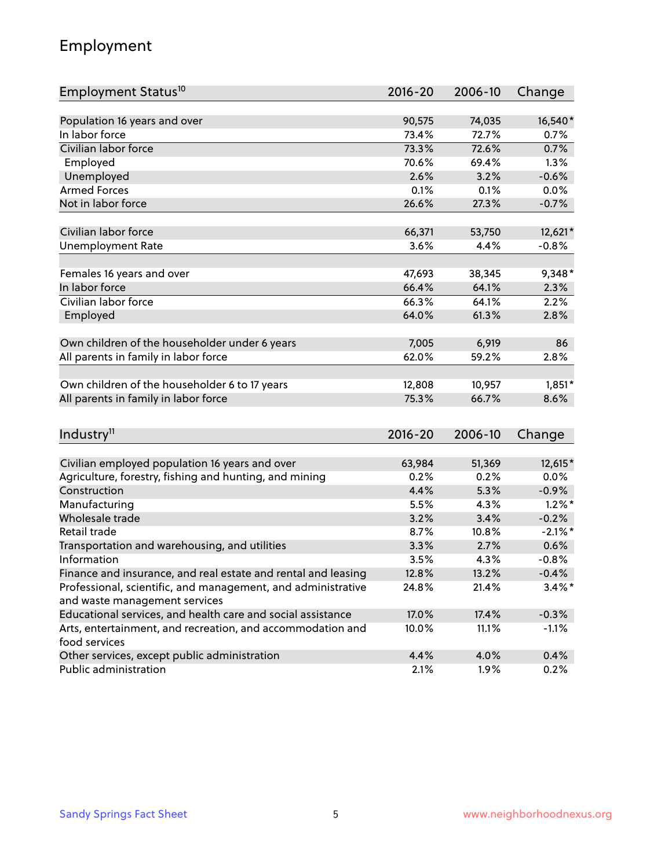## Employment

| Employment Status <sup>10</sup>                                                               | $2016 - 20$ | 2006-10 | Change     |
|-----------------------------------------------------------------------------------------------|-------------|---------|------------|
|                                                                                               |             |         |            |
| Population 16 years and over                                                                  | 90,575      | 74,035  | 16,540*    |
| In labor force                                                                                | 73.4%       | 72.7%   | 0.7%       |
| Civilian labor force                                                                          | 73.3%       | 72.6%   | 0.7%       |
| Employed                                                                                      | 70.6%       | 69.4%   | 1.3%       |
| Unemployed                                                                                    | 2.6%        | 3.2%    | $-0.6%$    |
| <b>Armed Forces</b>                                                                           | 0.1%        | 0.1%    | 0.0%       |
| Not in labor force                                                                            | 26.6%       | 27.3%   | $-0.7%$    |
| Civilian labor force                                                                          | 66,371      | 53,750  | 12,621*    |
| <b>Unemployment Rate</b>                                                                      | 3.6%        | 4.4%    | $-0.8%$    |
|                                                                                               |             |         |            |
| Females 16 years and over                                                                     | 47,693      | 38,345  | $9,348*$   |
| In labor force                                                                                | 66.4%       | 64.1%   | 2.3%       |
| Civilian labor force                                                                          | 66.3%       | 64.1%   | 2.2%       |
| Employed                                                                                      | 64.0%       | 61.3%   | 2.8%       |
| Own children of the householder under 6 years                                                 | 7,005       | 6,919   | 86         |
| All parents in family in labor force                                                          | 62.0%       | 59.2%   | 2.8%       |
|                                                                                               |             |         |            |
| Own children of the householder 6 to 17 years                                                 | 12,808      | 10,957  | $1,851*$   |
| All parents in family in labor force                                                          | 75.3%       | 66.7%   | 8.6%       |
|                                                                                               |             |         |            |
| Industry <sup>11</sup>                                                                        | $2016 - 20$ | 2006-10 | Change     |
|                                                                                               |             |         |            |
| Civilian employed population 16 years and over                                                | 63,984      | 51,369  | 12,615*    |
| Agriculture, forestry, fishing and hunting, and mining                                        | 0.2%        | 0.2%    | $0.0\%$    |
| Construction                                                                                  | 4.4%        | 5.3%    | $-0.9%$    |
| Manufacturing                                                                                 | 5.5%        | 4.3%    | $1.2\%$ *  |
| Wholesale trade                                                                               | 3.2%        | 3.4%    | $-0.2%$    |
| Retail trade                                                                                  | 8.7%        | 10.8%   | $-2.1\%$ * |
| Transportation and warehousing, and utilities                                                 | 3.3%        | 2.7%    | 0.6%       |
| Information                                                                                   | 3.5%        | 4.3%    | $-0.8%$    |
| Finance and insurance, and real estate and rental and leasing                                 | 12.8%       | 13.2%   | $-0.4%$    |
| Professional, scientific, and management, and administrative<br>and waste management services | 24.8%       | 21.4%   | $3.4\%$ *  |
| Educational services, and health care and social assistance                                   | 17.0%       | 17.4%   | $-0.3%$    |
| Arts, entertainment, and recreation, and accommodation and                                    | 10.0%       | 11.1%   | $-1.1%$    |
| food services                                                                                 |             |         |            |
| Other services, except public administration                                                  | 4.4%        | 4.0%    | 0.4%       |
| Public administration                                                                         | 2.1%        | 1.9%    | 0.2%       |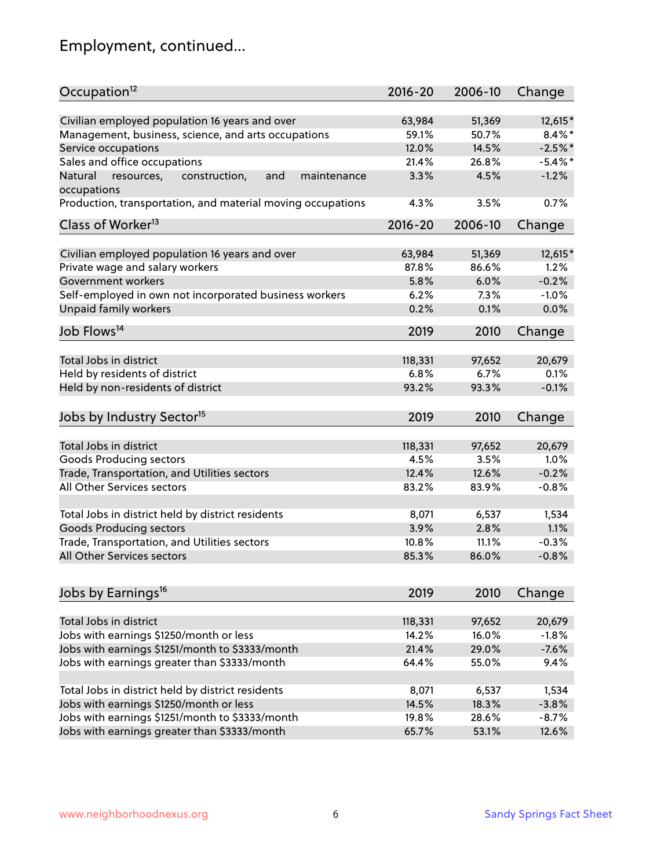# Employment, continued...

| Civilian employed population 16 years and over<br>63,984<br>51,369<br>12,615*<br>Management, business, science, and arts occupations<br>$8.4\%$ *<br>59.1%<br>50.7%<br>12.0%<br>14.5%<br>$-2.5%$<br>Service occupations<br>Sales and office occupations<br>$-5.4\%$ *<br>21.4%<br>26.8%<br>$-1.2%$<br>Natural<br>and<br>3.3%<br>4.5%<br>resources,<br>construction,<br>maintenance<br>4.3%<br>3.5%<br>0.7%<br>$2016 - 20$<br>2006-10<br>Change<br>Civilian employed population 16 years and over<br>63,984<br>51,369<br>12,615*<br>Private wage and salary workers<br>86.6%<br>87.8%<br>1.2%<br>6.0%<br>$-0.2%$<br>Government workers<br>5.8%<br>Self-employed in own not incorporated business workers<br>6.2%<br>$-1.0%$<br>7.3%<br>Unpaid family workers<br>0.0%<br>0.2%<br>0.1%<br>2019<br>2010<br>Change<br>Total Jobs in district<br>118,331<br>97,652<br>20,679<br>Held by residents of district<br>6.8%<br>6.7%<br>0.1%<br>Held by non-residents of district<br>$-0.1%$<br>93.2%<br>93.3%<br>2019<br>2010<br>Change<br>Total Jobs in district<br>118,331<br>97,652<br>20,679<br>Goods Producing sectors<br>4.5%<br>3.5%<br>1.0%<br>$-0.2%$<br>Trade, Transportation, and Utilities sectors<br>12.4%<br>12.6%<br>All Other Services sectors<br>83.2%<br>83.9%<br>$-0.8%$<br>Total Jobs in district held by district residents<br>8,071<br>6,537<br>1,534<br><b>Goods Producing sectors</b><br>3.9%<br>2.8%<br>1.1%<br>Trade, Transportation, and Utilities sectors<br>$-0.3%$<br>10.8%<br>11.1%<br>85.3%<br>86.0%<br>$-0.8%$<br>2019<br>2010<br>Change<br>Total Jobs in district<br>20,679<br>118,331<br>97,652<br>Jobs with earnings \$1250/month or less<br>14.2%<br>16.0%<br>$-1.8%$<br>Jobs with earnings \$1251/month to \$3333/month<br>21.4%<br>29.0%<br>$-7.6%$<br>Jobs with earnings greater than \$3333/month<br>9.4%<br>64.4%<br>55.0% | Occupation <sup>12</sup>                                    | $2016 - 20$ | 2006-10 | Change |
|----------------------------------------------------------------------------------------------------------------------------------------------------------------------------------------------------------------------------------------------------------------------------------------------------------------------------------------------------------------------------------------------------------------------------------------------------------------------------------------------------------------------------------------------------------------------------------------------------------------------------------------------------------------------------------------------------------------------------------------------------------------------------------------------------------------------------------------------------------------------------------------------------------------------------------------------------------------------------------------------------------------------------------------------------------------------------------------------------------------------------------------------------------------------------------------------------------------------------------------------------------------------------------------------------------------------------------------------------------------------------------------------------------------------------------------------------------------------------------------------------------------------------------------------------------------------------------------------------------------------------------------------------------------------------------------------------------------------------------------------------------------------------------------------------------------------------------------------------------|-------------------------------------------------------------|-------------|---------|--------|
|                                                                                                                                                                                                                                                                                                                                                                                                                                                                                                                                                                                                                                                                                                                                                                                                                                                                                                                                                                                                                                                                                                                                                                                                                                                                                                                                                                                                                                                                                                                                                                                                                                                                                                                                                                                                                                                          |                                                             |             |         |        |
|                                                                                                                                                                                                                                                                                                                                                                                                                                                                                                                                                                                                                                                                                                                                                                                                                                                                                                                                                                                                                                                                                                                                                                                                                                                                                                                                                                                                                                                                                                                                                                                                                                                                                                                                                                                                                                                          |                                                             |             |         |        |
|                                                                                                                                                                                                                                                                                                                                                                                                                                                                                                                                                                                                                                                                                                                                                                                                                                                                                                                                                                                                                                                                                                                                                                                                                                                                                                                                                                                                                                                                                                                                                                                                                                                                                                                                                                                                                                                          |                                                             |             |         |        |
|                                                                                                                                                                                                                                                                                                                                                                                                                                                                                                                                                                                                                                                                                                                                                                                                                                                                                                                                                                                                                                                                                                                                                                                                                                                                                                                                                                                                                                                                                                                                                                                                                                                                                                                                                                                                                                                          |                                                             |             |         |        |
|                                                                                                                                                                                                                                                                                                                                                                                                                                                                                                                                                                                                                                                                                                                                                                                                                                                                                                                                                                                                                                                                                                                                                                                                                                                                                                                                                                                                                                                                                                                                                                                                                                                                                                                                                                                                                                                          |                                                             |             |         |        |
|                                                                                                                                                                                                                                                                                                                                                                                                                                                                                                                                                                                                                                                                                                                                                                                                                                                                                                                                                                                                                                                                                                                                                                                                                                                                                                                                                                                                                                                                                                                                                                                                                                                                                                                                                                                                                                                          | occupations                                                 |             |         |        |
|                                                                                                                                                                                                                                                                                                                                                                                                                                                                                                                                                                                                                                                                                                                                                                                                                                                                                                                                                                                                                                                                                                                                                                                                                                                                                                                                                                                                                                                                                                                                                                                                                                                                                                                                                                                                                                                          | Production, transportation, and material moving occupations |             |         |        |
|                                                                                                                                                                                                                                                                                                                                                                                                                                                                                                                                                                                                                                                                                                                                                                                                                                                                                                                                                                                                                                                                                                                                                                                                                                                                                                                                                                                                                                                                                                                                                                                                                                                                                                                                                                                                                                                          | Class of Worker <sup>13</sup>                               |             |         |        |
|                                                                                                                                                                                                                                                                                                                                                                                                                                                                                                                                                                                                                                                                                                                                                                                                                                                                                                                                                                                                                                                                                                                                                                                                                                                                                                                                                                                                                                                                                                                                                                                                                                                                                                                                                                                                                                                          |                                                             |             |         |        |
|                                                                                                                                                                                                                                                                                                                                                                                                                                                                                                                                                                                                                                                                                                                                                                                                                                                                                                                                                                                                                                                                                                                                                                                                                                                                                                                                                                                                                                                                                                                                                                                                                                                                                                                                                                                                                                                          |                                                             |             |         |        |
|                                                                                                                                                                                                                                                                                                                                                                                                                                                                                                                                                                                                                                                                                                                                                                                                                                                                                                                                                                                                                                                                                                                                                                                                                                                                                                                                                                                                                                                                                                                                                                                                                                                                                                                                                                                                                                                          |                                                             |             |         |        |
|                                                                                                                                                                                                                                                                                                                                                                                                                                                                                                                                                                                                                                                                                                                                                                                                                                                                                                                                                                                                                                                                                                                                                                                                                                                                                                                                                                                                                                                                                                                                                                                                                                                                                                                                                                                                                                                          |                                                             |             |         |        |
|                                                                                                                                                                                                                                                                                                                                                                                                                                                                                                                                                                                                                                                                                                                                                                                                                                                                                                                                                                                                                                                                                                                                                                                                                                                                                                                                                                                                                                                                                                                                                                                                                                                                                                                                                                                                                                                          |                                                             |             |         |        |
|                                                                                                                                                                                                                                                                                                                                                                                                                                                                                                                                                                                                                                                                                                                                                                                                                                                                                                                                                                                                                                                                                                                                                                                                                                                                                                                                                                                                                                                                                                                                                                                                                                                                                                                                                                                                                                                          |                                                             |             |         |        |
|                                                                                                                                                                                                                                                                                                                                                                                                                                                                                                                                                                                                                                                                                                                                                                                                                                                                                                                                                                                                                                                                                                                                                                                                                                                                                                                                                                                                                                                                                                                                                                                                                                                                                                                                                                                                                                                          | Job Flows <sup>14</sup>                                     |             |         |        |
|                                                                                                                                                                                                                                                                                                                                                                                                                                                                                                                                                                                                                                                                                                                                                                                                                                                                                                                                                                                                                                                                                                                                                                                                                                                                                                                                                                                                                                                                                                                                                                                                                                                                                                                                                                                                                                                          |                                                             |             |         |        |
|                                                                                                                                                                                                                                                                                                                                                                                                                                                                                                                                                                                                                                                                                                                                                                                                                                                                                                                                                                                                                                                                                                                                                                                                                                                                                                                                                                                                                                                                                                                                                                                                                                                                                                                                                                                                                                                          |                                                             |             |         |        |
|                                                                                                                                                                                                                                                                                                                                                                                                                                                                                                                                                                                                                                                                                                                                                                                                                                                                                                                                                                                                                                                                                                                                                                                                                                                                                                                                                                                                                                                                                                                                                                                                                                                                                                                                                                                                                                                          |                                                             |             |         |        |
|                                                                                                                                                                                                                                                                                                                                                                                                                                                                                                                                                                                                                                                                                                                                                                                                                                                                                                                                                                                                                                                                                                                                                                                                                                                                                                                                                                                                                                                                                                                                                                                                                                                                                                                                                                                                                                                          |                                                             |             |         |        |
|                                                                                                                                                                                                                                                                                                                                                                                                                                                                                                                                                                                                                                                                                                                                                                                                                                                                                                                                                                                                                                                                                                                                                                                                                                                                                                                                                                                                                                                                                                                                                                                                                                                                                                                                                                                                                                                          | Jobs by Industry Sector <sup>15</sup>                       |             |         |        |
|                                                                                                                                                                                                                                                                                                                                                                                                                                                                                                                                                                                                                                                                                                                                                                                                                                                                                                                                                                                                                                                                                                                                                                                                                                                                                                                                                                                                                                                                                                                                                                                                                                                                                                                                                                                                                                                          |                                                             |             |         |        |
|                                                                                                                                                                                                                                                                                                                                                                                                                                                                                                                                                                                                                                                                                                                                                                                                                                                                                                                                                                                                                                                                                                                                                                                                                                                                                                                                                                                                                                                                                                                                                                                                                                                                                                                                                                                                                                                          |                                                             |             |         |        |
|                                                                                                                                                                                                                                                                                                                                                                                                                                                                                                                                                                                                                                                                                                                                                                                                                                                                                                                                                                                                                                                                                                                                                                                                                                                                                                                                                                                                                                                                                                                                                                                                                                                                                                                                                                                                                                                          |                                                             |             |         |        |
|                                                                                                                                                                                                                                                                                                                                                                                                                                                                                                                                                                                                                                                                                                                                                                                                                                                                                                                                                                                                                                                                                                                                                                                                                                                                                                                                                                                                                                                                                                                                                                                                                                                                                                                                                                                                                                                          |                                                             |             |         |        |
|                                                                                                                                                                                                                                                                                                                                                                                                                                                                                                                                                                                                                                                                                                                                                                                                                                                                                                                                                                                                                                                                                                                                                                                                                                                                                                                                                                                                                                                                                                                                                                                                                                                                                                                                                                                                                                                          |                                                             |             |         |        |
|                                                                                                                                                                                                                                                                                                                                                                                                                                                                                                                                                                                                                                                                                                                                                                                                                                                                                                                                                                                                                                                                                                                                                                                                                                                                                                                                                                                                                                                                                                                                                                                                                                                                                                                                                                                                                                                          |                                                             |             |         |        |
|                                                                                                                                                                                                                                                                                                                                                                                                                                                                                                                                                                                                                                                                                                                                                                                                                                                                                                                                                                                                                                                                                                                                                                                                                                                                                                                                                                                                                                                                                                                                                                                                                                                                                                                                                                                                                                                          |                                                             |             |         |        |
|                                                                                                                                                                                                                                                                                                                                                                                                                                                                                                                                                                                                                                                                                                                                                                                                                                                                                                                                                                                                                                                                                                                                                                                                                                                                                                                                                                                                                                                                                                                                                                                                                                                                                                                                                                                                                                                          |                                                             |             |         |        |
|                                                                                                                                                                                                                                                                                                                                                                                                                                                                                                                                                                                                                                                                                                                                                                                                                                                                                                                                                                                                                                                                                                                                                                                                                                                                                                                                                                                                                                                                                                                                                                                                                                                                                                                                                                                                                                                          | All Other Services sectors                                  |             |         |        |
|                                                                                                                                                                                                                                                                                                                                                                                                                                                                                                                                                                                                                                                                                                                                                                                                                                                                                                                                                                                                                                                                                                                                                                                                                                                                                                                                                                                                                                                                                                                                                                                                                                                                                                                                                                                                                                                          |                                                             |             |         |        |
|                                                                                                                                                                                                                                                                                                                                                                                                                                                                                                                                                                                                                                                                                                                                                                                                                                                                                                                                                                                                                                                                                                                                                                                                                                                                                                                                                                                                                                                                                                                                                                                                                                                                                                                                                                                                                                                          | Jobs by Earnings <sup>16</sup>                              |             |         |        |
|                                                                                                                                                                                                                                                                                                                                                                                                                                                                                                                                                                                                                                                                                                                                                                                                                                                                                                                                                                                                                                                                                                                                                                                                                                                                                                                                                                                                                                                                                                                                                                                                                                                                                                                                                                                                                                                          |                                                             |             |         |        |
|                                                                                                                                                                                                                                                                                                                                                                                                                                                                                                                                                                                                                                                                                                                                                                                                                                                                                                                                                                                                                                                                                                                                                                                                                                                                                                                                                                                                                                                                                                                                                                                                                                                                                                                                                                                                                                                          |                                                             |             |         |        |
|                                                                                                                                                                                                                                                                                                                                                                                                                                                                                                                                                                                                                                                                                                                                                                                                                                                                                                                                                                                                                                                                                                                                                                                                                                                                                                                                                                                                                                                                                                                                                                                                                                                                                                                                                                                                                                                          |                                                             |             |         |        |
|                                                                                                                                                                                                                                                                                                                                                                                                                                                                                                                                                                                                                                                                                                                                                                                                                                                                                                                                                                                                                                                                                                                                                                                                                                                                                                                                                                                                                                                                                                                                                                                                                                                                                                                                                                                                                                                          |                                                             |             |         |        |
|                                                                                                                                                                                                                                                                                                                                                                                                                                                                                                                                                                                                                                                                                                                                                                                                                                                                                                                                                                                                                                                                                                                                                                                                                                                                                                                                                                                                                                                                                                                                                                                                                                                                                                                                                                                                                                                          |                                                             |             |         |        |
| 8,071<br>6,537<br>1,534                                                                                                                                                                                                                                                                                                                                                                                                                                                                                                                                                                                                                                                                                                                                                                                                                                                                                                                                                                                                                                                                                                                                                                                                                                                                                                                                                                                                                                                                                                                                                                                                                                                                                                                                                                                                                                  | Total Jobs in district held by district residents           |             |         |        |
| $-3.8%$<br>14.5%<br>18.3%                                                                                                                                                                                                                                                                                                                                                                                                                                                                                                                                                                                                                                                                                                                                                                                                                                                                                                                                                                                                                                                                                                                                                                                                                                                                                                                                                                                                                                                                                                                                                                                                                                                                                                                                                                                                                                | Jobs with earnings \$1250/month or less                     |             |         |        |
| 19.8%<br>28.6%<br>$-8.7%$                                                                                                                                                                                                                                                                                                                                                                                                                                                                                                                                                                                                                                                                                                                                                                                                                                                                                                                                                                                                                                                                                                                                                                                                                                                                                                                                                                                                                                                                                                                                                                                                                                                                                                                                                                                                                                | Jobs with earnings \$1251/month to \$3333/month             |             |         |        |
| 65.7%<br>53.1%<br>12.6%                                                                                                                                                                                                                                                                                                                                                                                                                                                                                                                                                                                                                                                                                                                                                                                                                                                                                                                                                                                                                                                                                                                                                                                                                                                                                                                                                                                                                                                                                                                                                                                                                                                                                                                                                                                                                                  | Jobs with earnings greater than \$3333/month                |             |         |        |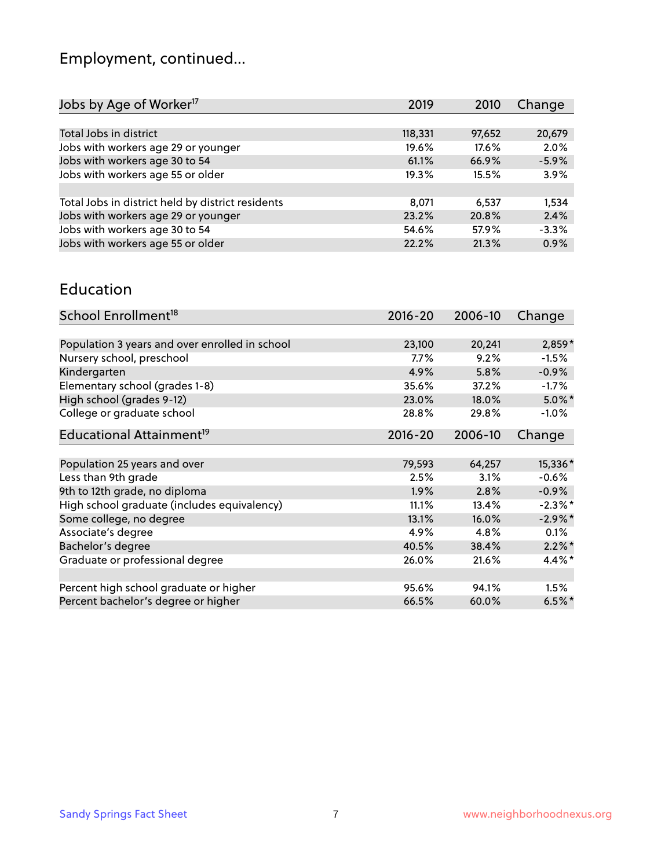# Employment, continued...

| 2019    | 2010   | Change  |
|---------|--------|---------|
|         |        |         |
| 118,331 | 97,652 | 20,679  |
| 19.6%   | 17.6%  | 2.0%    |
| 61.1%   | 66.9%  | $-5.9%$ |
| 19.3%   | 15.5%  | 3.9%    |
|         |        |         |
| 8,071   | 6,537  | 1,534   |
| 23.2%   | 20.8%  | 2.4%    |
| 54.6%   | 57.9%  | $-3.3%$ |
| 22.2%   | 21.3%  | 0.9%    |
|         |        |         |

#### Education

| School Enrollment <sup>18</sup>                | $2016 - 20$ | 2006-10 | Change     |
|------------------------------------------------|-------------|---------|------------|
|                                                |             |         |            |
| Population 3 years and over enrolled in school | 23,100      | 20,241  | $2,859*$   |
| Nursery school, preschool                      | $7.7\%$     | 9.2%    | $-1.5%$    |
| Kindergarten                                   | 4.9%        | 5.8%    | $-0.9%$    |
| Elementary school (grades 1-8)                 | 35.6%       | 37.2%   | $-1.7\%$   |
| High school (grades 9-12)                      | 23.0%       | 18.0%   | $5.0\%$ *  |
| College or graduate school                     | 28.8%       | 29.8%   | $-1.0%$    |
| Educational Attainment <sup>19</sup>           | $2016 - 20$ | 2006-10 | Change     |
|                                                |             |         |            |
| Population 25 years and over                   | 79,593      | 64,257  | 15,336*    |
| Less than 9th grade                            | 2.5%        | 3.1%    | $-0.6%$    |
| 9th to 12th grade, no diploma                  | 1.9%        | 2.8%    | $-0.9%$    |
| High school graduate (includes equivalency)    | 11.1%       | 13.4%   | $-2.3\%$ * |
| Some college, no degree                        | 13.1%       | 16.0%   | $-2.9\%$ * |
| Associate's degree                             | 4.9%        | 4.8%    | 0.1%       |
| Bachelor's degree                              | 40.5%       | 38.4%   | $2.2\%$ *  |
| Graduate or professional degree                | 26.0%       | 21.6%   | 4.4%*      |
|                                                |             |         |            |
| Percent high school graduate or higher         | 95.6%       | 94.1%   | $1.5\%$    |
| Percent bachelor's degree or higher            | 66.5%       | 60.0%   | $6.5%$ *   |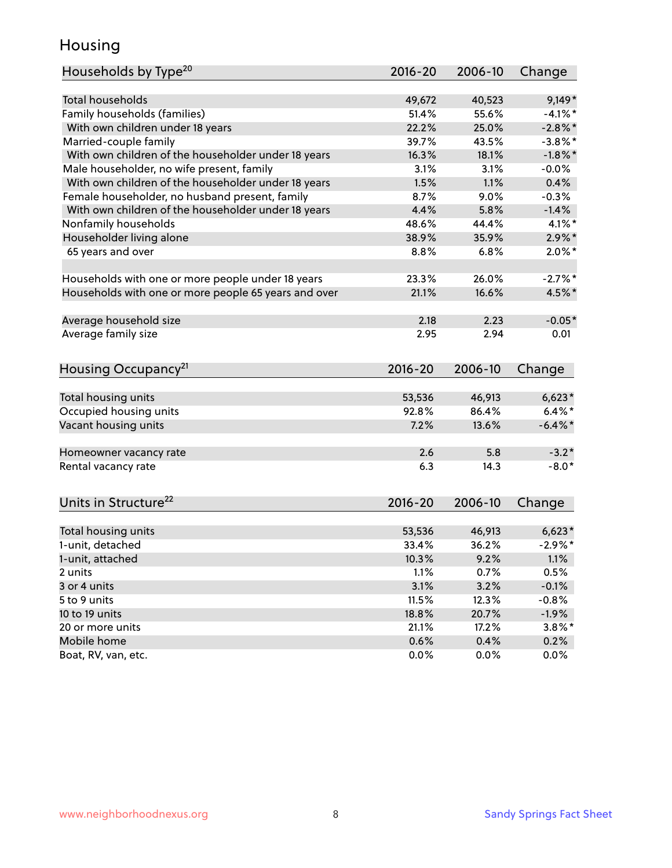## Housing

| Households by Type <sup>20</sup>                     | 2016-20     | 2006-10 | Change     |
|------------------------------------------------------|-------------|---------|------------|
|                                                      |             |         |            |
| <b>Total households</b>                              | 49,672      | 40,523  | $9,149*$   |
| Family households (families)                         | 51.4%       | 55.6%   | $-4.1\%$ * |
| With own children under 18 years                     | 22.2%       | 25.0%   | $-2.8\%$ * |
| Married-couple family                                | 39.7%       | 43.5%   | $-3.8\%$ * |
| With own children of the householder under 18 years  | 16.3%       | 18.1%   | $-1.8\%$ * |
| Male householder, no wife present, family            | 3.1%        | 3.1%    | $-0.0%$    |
| With own children of the householder under 18 years  | 1.5%        | 1.1%    | 0.4%       |
| Female householder, no husband present, family       | 8.7%        | 9.0%    | $-0.3%$    |
| With own children of the householder under 18 years  | 4.4%        | 5.8%    | $-1.4%$    |
| Nonfamily households                                 | 48.6%       | 44.4%   | 4.1%*      |
| Householder living alone                             | 38.9%       | 35.9%   | $2.9\%$ *  |
| 65 years and over                                    | 8.8%        | 6.8%    | $2.0\%$ *  |
| Households with one or more people under 18 years    | 23.3%       | 26.0%   | $-2.7%$ *  |
| Households with one or more people 65 years and over | 21.1%       | 16.6%   | 4.5%*      |
| Average household size                               | 2.18        | 2.23    | $-0.05*$   |
| Average family size                                  | 2.95        | 2.94    | 0.01       |
| Housing Occupancy <sup>21</sup>                      | $2016 - 20$ | 2006-10 | Change     |
|                                                      |             |         |            |
| Total housing units                                  | 53,536      | 46,913  | $6,623*$   |
| Occupied housing units                               | 92.8%       | 86.4%   | $6.4\%$ *  |
| Vacant housing units                                 | 7.2%        | 13.6%   | $-6.4\%$ * |
| Homeowner vacancy rate                               | 2.6         | 5.8     | $-3.2*$    |
| Rental vacancy rate                                  | 6.3         | 14.3    | $-8.0*$    |
|                                                      |             |         |            |
| Units in Structure <sup>22</sup>                     | $2016 - 20$ | 2006-10 | Change     |
| Total housing units                                  | 53,536      | 46,913  | $6,623*$   |
| 1-unit, detached                                     | 33.4%       | 36.2%   | $-2.9\%$ * |
| 1-unit, attached                                     | 10.3%       | 9.2%    | 1.1%       |
| 2 units                                              | 1.1%        | 0.7%    | 0.5%       |
| 3 or 4 units                                         | 3.1%        | 3.2%    | $-0.1%$    |
| 5 to 9 units                                         | 11.5%       | 12.3%   | $-0.8%$    |
| 10 to 19 units                                       | 18.8%       | 20.7%   | $-1.9%$    |
| 20 or more units                                     | 21.1%       | 17.2%   | $3.8\%$ *  |
| Mobile home                                          | 0.6%        | 0.4%    | 0.2%       |
| Boat, RV, van, etc.                                  | 0.0%        | 0.0%    | 0.0%       |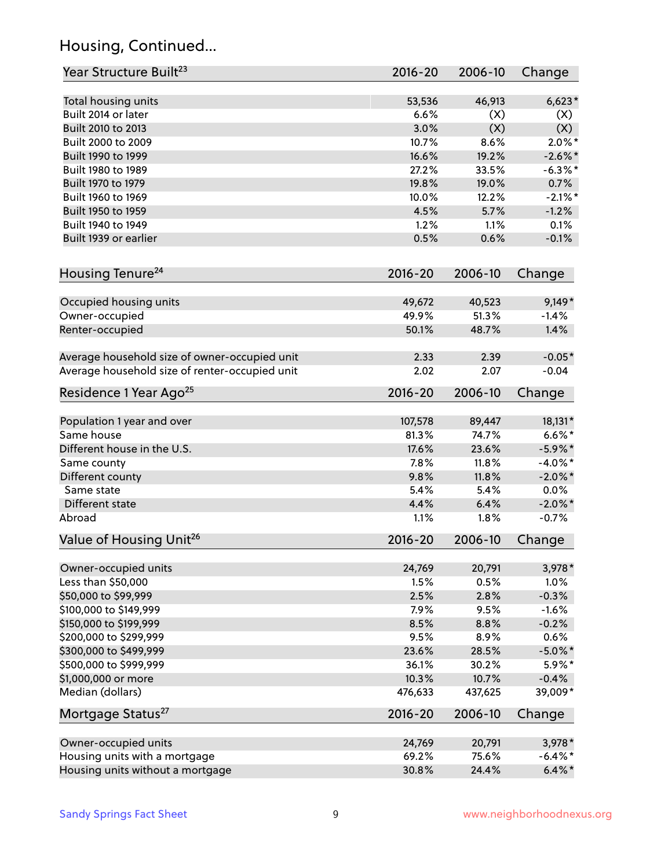## Housing, Continued...

| Year Structure Built <sup>23</sup>             | 2016-20     | 2006-10 | Change     |
|------------------------------------------------|-------------|---------|------------|
| Total housing units                            | 53,536      | 46,913  | $6,623*$   |
| Built 2014 or later                            | 6.6%        | (X)     | (X)        |
| Built 2010 to 2013                             | 3.0%        | (X)     | (X)        |
| Built 2000 to 2009                             | 10.7%       | 8.6%    | $2.0\%$ *  |
| Built 1990 to 1999                             | 16.6%       | 19.2%   | $-2.6\%$ * |
| Built 1980 to 1989                             | 27.2%       | 33.5%   | $-6.3\%$ * |
| Built 1970 to 1979                             | 19.8%       | 19.0%   | 0.7%       |
| Built 1960 to 1969                             | 10.0%       | 12.2%   | $-2.1\%$ * |
| Built 1950 to 1959                             | 4.5%        | 5.7%    | $-1.2%$    |
| Built 1940 to 1949                             | 1.2%        | 1.1%    | 0.1%       |
| Built 1939 or earlier                          | 0.5%        | 0.6%    | $-0.1%$    |
|                                                |             |         |            |
| Housing Tenure <sup>24</sup>                   | $2016 - 20$ | 2006-10 | Change     |
| Occupied housing units                         | 49,672      | 40,523  | $9,149*$   |
| Owner-occupied                                 | 49.9%       | 51.3%   | $-1.4%$    |
| Renter-occupied                                | 50.1%       | 48.7%   | 1.4%       |
| Average household size of owner-occupied unit  | 2.33        | 2.39    | $-0.05*$   |
| Average household size of renter-occupied unit | 2.02        | 2.07    | $-0.04$    |
| Residence 1 Year Ago <sup>25</sup>             | $2016 - 20$ | 2006-10 | Change     |
|                                                |             |         |            |
| Population 1 year and over                     | 107,578     | 89,447  | 18,131*    |
| Same house                                     | 81.3%       | 74.7%   | $6.6\%*$   |
| Different house in the U.S.                    | 17.6%       | 23.6%   | $-5.9\%$ * |
| Same county                                    | 7.8%        | 11.8%   | $-4.0\%$ * |
| Different county                               | 9.8%        | 11.8%   | $-2.0\%$ * |
| Same state                                     | 5.4%        | 5.4%    | 0.0%       |
| Different state                                | 4.4%        | 6.4%    | $-2.0\%$ * |
| Abroad                                         | 1.1%        | 1.8%    | $-0.7%$    |
| Value of Housing Unit <sup>26</sup>            | $2016 - 20$ | 2006-10 | Change     |
| Owner-occupied units                           | 24,769      | 20,791  | 3,978*     |
| Less than \$50,000                             | 1.5%        | 0.5%    | 1.0%       |
| \$50,000 to \$99,999                           | 2.5%        | 2.8%    | $-0.3%$    |
| \$100,000 to \$149,999                         | 7.9%        | 9.5%    | $-1.6%$    |
| \$150,000 to \$199,999                         | 8.5%        | 8.8%    | $-0.2%$    |
| \$200,000 to \$299,999                         | 9.5%        | 8.9%    | 0.6%       |
| \$300,000 to \$499,999                         | 23.6%       | 28.5%   | $-5.0\%$ * |
| \$500,000 to \$999,999                         | 36.1%       | 30.2%   | 5.9%*      |
| \$1,000,000 or more                            | 10.3%       | 10.7%   | $-0.4%$    |
| Median (dollars)                               | 476,633     | 437,625 | 39,009*    |
| Mortgage Status <sup>27</sup>                  | $2016 - 20$ | 2006-10 | Change     |
| Owner-occupied units                           | 24,769      | 20,791  | $3,978*$   |
| Housing units with a mortgage                  | 69.2%       | 75.6%   | $-6.4\%$ * |
| Housing units without a mortgage               | 30.8%       | 24.4%   | $6.4\% *$  |
|                                                |             |         |            |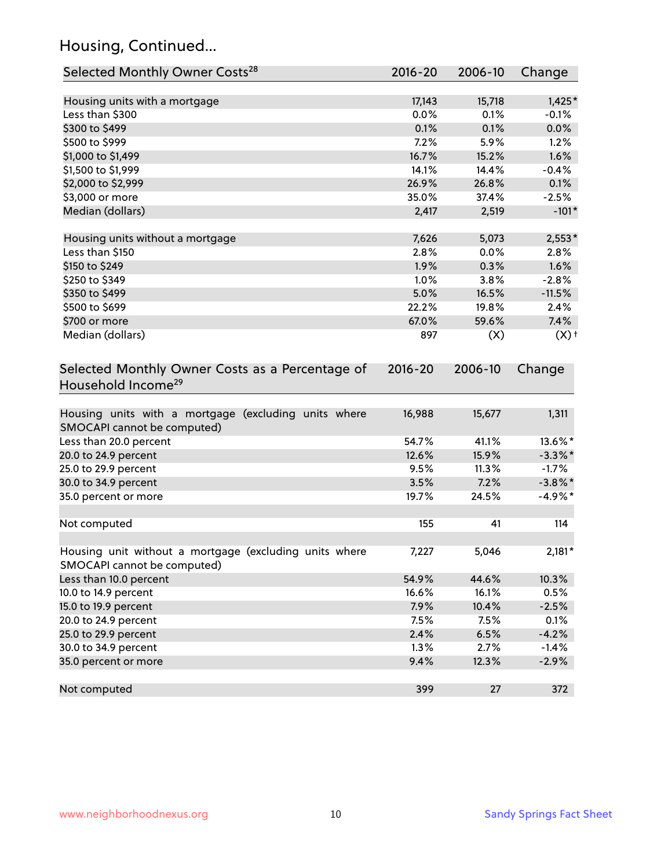## Housing, Continued...

| Selected Monthly Owner Costs <sup>28</sup>                                            | $2016 - 20$ | 2006-10 | Change             |
|---------------------------------------------------------------------------------------|-------------|---------|--------------------|
| Housing units with a mortgage                                                         | 17,143      | 15,718  | $1,425*$           |
| Less than \$300                                                                       | 0.0%        | 0.1%    | $-0.1%$            |
| \$300 to \$499                                                                        | 0.1%        | 0.1%    | 0.0%               |
| \$500 to \$999                                                                        | 7.2%        | 5.9%    | 1.2%               |
| \$1,000 to \$1,499                                                                    | 16.7%       | 15.2%   | 1.6%               |
| \$1,500 to \$1,999                                                                    | 14.1%       | 14.4%   | $-0.4%$            |
| \$2,000 to \$2,999                                                                    | 26.9%       | 26.8%   | 0.1%               |
| \$3,000 or more                                                                       | 35.0%       | 37.4%   | $-2.5%$            |
| Median (dollars)                                                                      | 2,417       | 2,519   | $-101*$            |
| Housing units without a mortgage                                                      | 7,626       | 5,073   | $2,553*$           |
| Less than \$150                                                                       | 2.8%        | 0.0%    | 2.8%               |
| \$150 to \$249                                                                        | 1.9%        | 0.3%    | 1.6%               |
| \$250 to \$349                                                                        | 1.0%        | 3.8%    | $-2.8%$            |
| \$350 to \$499                                                                        | 5.0%        | 16.5%   | $-11.5%$           |
| \$500 to \$699                                                                        | 22.2%       | 19.8%   | 2.4%               |
| \$700 or more                                                                         | 67.0%       | 59.6%   | 7.4%               |
| Median (dollars)                                                                      | 897         | (X)     | $(X)$ <sup>+</sup> |
| Selected Monthly Owner Costs as a Percentage of<br>Household Income <sup>29</sup>     | $2016 - 20$ | 2006-10 | Change             |
| Housing units with a mortgage (excluding units where<br>SMOCAPI cannot be computed)   | 16,988      | 15,677  | 1,311              |
| Less than 20.0 percent                                                                | 54.7%       | 41.1%   | 13.6%*             |
| 20.0 to 24.9 percent                                                                  | 12.6%       | 15.9%   | $-3.3\%$ *         |
| 25.0 to 29.9 percent                                                                  | 9.5%        | 11.3%   | $-1.7%$            |
| 30.0 to 34.9 percent                                                                  | 3.5%        | 7.2%    | $-3.8\%$ *         |
| 35.0 percent or more                                                                  | 19.7%       | 24.5%   | $-4.9%$ *          |
| Not computed                                                                          | 155         | 41      | 114                |
| Housing unit without a mortgage (excluding units where<br>SMOCAPI cannot be computed) | 7,227       | 5,046   | $2,181*$           |
| Less than 10.0 percent                                                                | 54.9%       | 44.6%   | 10.3%              |
| 10.0 to 14.9 percent                                                                  | 16.6%       | 16.1%   | 0.5%               |
| 15.0 to 19.9 percent                                                                  | 7.9%        | 10.4%   | $-2.5%$            |
| 20.0 to 24.9 percent                                                                  | 7.5%        | 7.5%    | 0.1%               |
| 25.0 to 29.9 percent                                                                  | 2.4%        | 6.5%    | $-4.2%$            |
| 30.0 to 34.9 percent                                                                  | 1.3%        | 2.7%    | $-1.4%$            |
| 35.0 percent or more                                                                  | 9.4%        | 12.3%   | $-2.9%$            |
| Not computed                                                                          | 399         | 27      | 372                |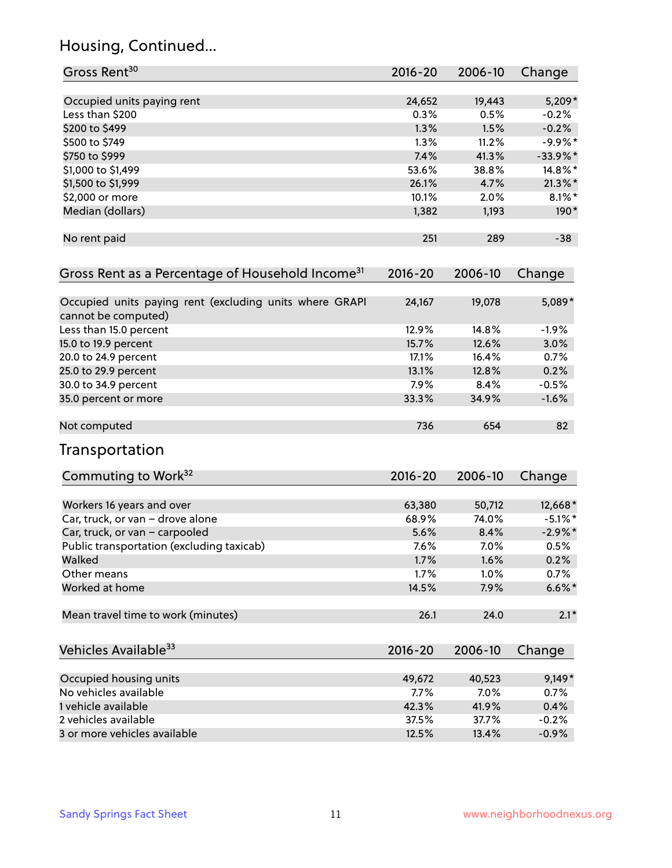## Housing, Continued...

| Gross Rent <sup>30</sup>                                                       | 2016-20     | 2006-10 | Change     |
|--------------------------------------------------------------------------------|-------------|---------|------------|
| Occupied units paying rent                                                     | 24,652      | 19,443  | $5,209*$   |
| Less than \$200                                                                | 0.3%        | 0.5%    | $-0.2%$    |
| \$200 to \$499                                                                 | 1.3%        | 1.5%    | $-0.2%$    |
| \$500 to \$749                                                                 | 1.3%        | 11.2%   | $-9.9%$ *  |
| \$750 to \$999                                                                 | 7.4%        | 41.3%   | $-33.9%$ * |
| \$1,000 to \$1,499                                                             | 53.6%       | 38.8%   | 14.8%*     |
|                                                                                | 26.1%       | 4.7%    |            |
| \$1,500 to \$1,999                                                             | 10.1%       |         | $21.3\%$ * |
| \$2,000 or more                                                                |             | 2.0%    | $8.1\%$ *  |
| Median (dollars)                                                               | 1,382       | 1,193   | 190*       |
| No rent paid                                                                   | 251         | 289     | $-38$      |
| Gross Rent as a Percentage of Household Income <sup>31</sup>                   | $2016 - 20$ | 2006-10 | Change     |
| Occupied units paying rent (excluding units where GRAPI<br>cannot be computed) | 24,167      | 19,078  | 5,089*     |
| Less than 15.0 percent                                                         | 12.9%       | 14.8%   | $-1.9%$    |
| 15.0 to 19.9 percent                                                           | 15.7%       | 12.6%   | 3.0%       |
| 20.0 to 24.9 percent                                                           | 17.1%       | 16.4%   | 0.7%       |
| 25.0 to 29.9 percent                                                           | 13.1%       | 12.8%   | 0.2%       |
| 30.0 to 34.9 percent                                                           | 7.9%        | 8.4%    | $-0.5%$    |
| 35.0 percent or more                                                           | 33.3%       | 34.9%   | $-1.6%$    |
| Not computed                                                                   | 736         | 654     | 82         |
| Transportation                                                                 |             |         |            |
| Commuting to Work <sup>32</sup>                                                | 2016-20     | 2006-10 | Change     |
| Workers 16 years and over                                                      | 63,380      | 50,712  | 12,668*    |
| Car, truck, or van - drove alone                                               | 68.9%       | 74.0%   | $-5.1\%$ * |
| Car, truck, or van - carpooled                                                 | 5.6%        | 8.4%    | $-2.9\%$ * |
| Public transportation (excluding taxicab)                                      | 7.6%        | 7.0%    | 0.5%       |
| Walked                                                                         | 1.7%        | 1.6%    | 0.2%       |
| Other means                                                                    | 1.7%        | 1.0%    | 0.7%       |
| Worked at home                                                                 | 14.5%       | 7.9%    | $6.6\%$ *  |
| Mean travel time to work (minutes)                                             | 26.1        | 24.0    | $2.1*$     |
| Vehicles Available <sup>33</sup>                                               | 2016-20     | 2006-10 | Change     |
| Occupied housing units                                                         | 49,672      | 40,523  | $9,149*$   |
| No vehicles available                                                          | 7.7%        | 7.0%    | 0.7%       |
| 1 vehicle available                                                            | 42.3%       | 41.9%   | 0.4%       |
| 2 vehicles available                                                           | 37.5%       | 37.7%   | $-0.2%$    |
| 3 or more vehicles available                                                   | 12.5%       | 13.4%   | $-0.9%$    |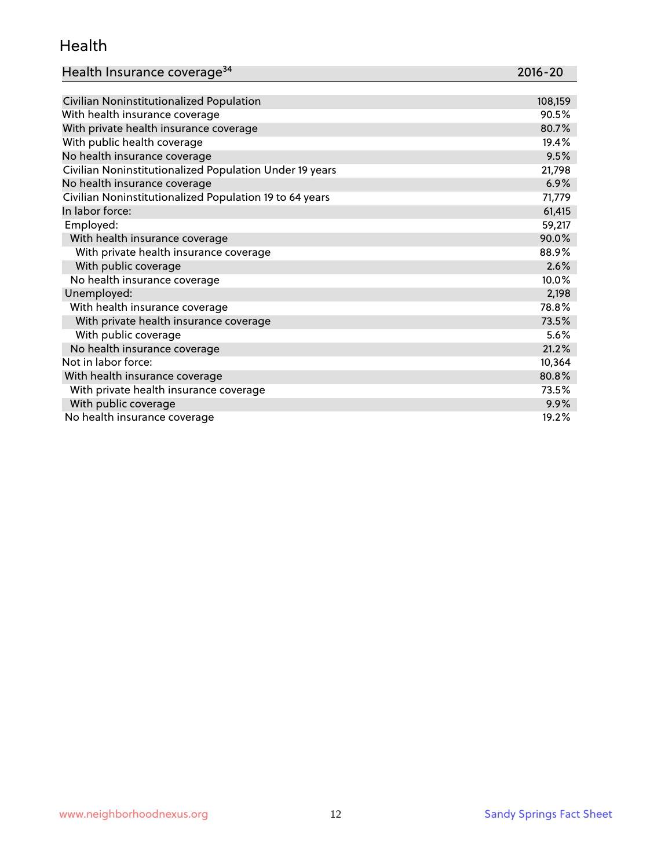#### Health

| Health Insurance coverage <sup>34</sup> | 2016-20 |
|-----------------------------------------|---------|
|-----------------------------------------|---------|

| Civilian Noninstitutionalized Population                | 108,159 |
|---------------------------------------------------------|---------|
| With health insurance coverage                          | 90.5%   |
| With private health insurance coverage                  | 80.7%   |
| With public health coverage                             | 19.4%   |
| No health insurance coverage                            | 9.5%    |
| Civilian Noninstitutionalized Population Under 19 years | 21,798  |
| No health insurance coverage                            | 6.9%    |
| Civilian Noninstitutionalized Population 19 to 64 years | 71,779  |
| In labor force:                                         | 61,415  |
| Employed:                                               | 59,217  |
| With health insurance coverage                          | 90.0%   |
| With private health insurance coverage                  | 88.9%   |
| With public coverage                                    | 2.6%    |
| No health insurance coverage                            | 10.0%   |
| Unemployed:                                             | 2,198   |
| With health insurance coverage                          | 78.8%   |
| With private health insurance coverage                  | 73.5%   |
| With public coverage                                    | 5.6%    |
| No health insurance coverage                            | 21.2%   |
| Not in labor force:                                     | 10,364  |
| With health insurance coverage                          | 80.8%   |
| With private health insurance coverage                  | 73.5%   |
| With public coverage                                    | 9.9%    |
| No health insurance coverage                            | 19.2%   |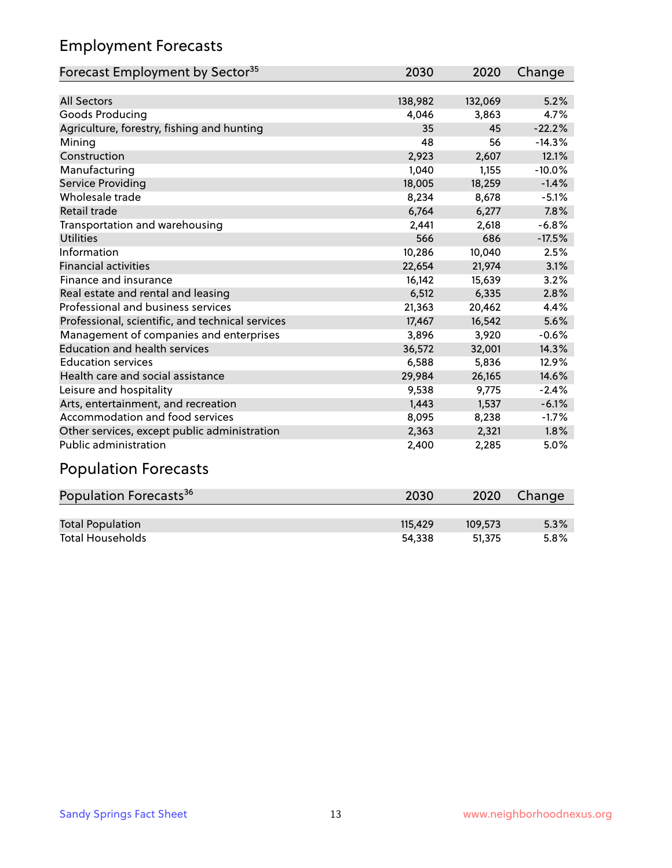## Employment Forecasts

| Forecast Employment by Sector <sup>35</sup>      | 2030    | 2020    | Change   |
|--------------------------------------------------|---------|---------|----------|
|                                                  |         |         |          |
| <b>All Sectors</b>                               | 138,982 | 132,069 | 5.2%     |
| Goods Producing                                  | 4,046   | 3,863   | 4.7%     |
| Agriculture, forestry, fishing and hunting       | 35      | 45      | $-22.2%$ |
| Mining                                           | 48      | 56      | $-14.3%$ |
| Construction                                     | 2,923   | 2,607   | 12.1%    |
| Manufacturing                                    | 1,040   | 1,155   | $-10.0%$ |
| Service Providing                                | 18,005  | 18,259  | $-1.4%$  |
| Wholesale trade                                  | 8,234   | 8,678   | $-5.1%$  |
| Retail trade                                     | 6,764   | 6,277   | 7.8%     |
| Transportation and warehousing                   | 2,441   | 2,618   | $-6.8%$  |
| <b>Utilities</b>                                 | 566     | 686     | $-17.5%$ |
| Information                                      | 10,286  | 10,040  | 2.5%     |
| <b>Financial activities</b>                      | 22,654  | 21,974  | 3.1%     |
| Finance and insurance                            | 16,142  | 15,639  | 3.2%     |
| Real estate and rental and leasing               | 6,512   | 6,335   | 2.8%     |
| Professional and business services               | 21,363  | 20,462  | 4.4%     |
| Professional, scientific, and technical services | 17,467  | 16,542  | 5.6%     |
| Management of companies and enterprises          | 3,896   | 3,920   | $-0.6%$  |
| <b>Education and health services</b>             | 36,572  | 32,001  | 14.3%    |
| <b>Education services</b>                        | 6,588   | 5,836   | 12.9%    |
| Health care and social assistance                | 29,984  | 26,165  | 14.6%    |
| Leisure and hospitality                          | 9,538   | 9,775   | $-2.4%$  |
| Arts, entertainment, and recreation              | 1,443   | 1,537   | $-6.1%$  |
| Accommodation and food services                  | 8,095   | 8,238   | $-1.7%$  |
| Other services, except public administration     | 2,363   | 2,321   | 1.8%     |
| <b>Public administration</b>                     | 2,400   | 2,285   | 5.0%     |
|                                                  |         |         |          |

#### Population Forecasts

| Population Forecasts <sup>36</sup> | 2030    | 2020    | Change |
|------------------------------------|---------|---------|--------|
|                                    |         |         |        |
| <b>Total Population</b>            | 115.429 | 109.573 | 5.3%   |
| <b>Total Households</b>            | 54.338  | 51.375  | 5.8%   |